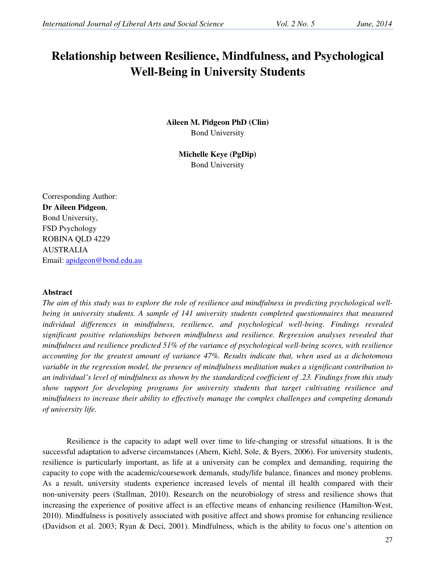# **Relationship between Resilience, Mindfulness, and Psychological Well-Being in University Students**

**Aileen M. Pidgeon PhD (Clin)**  Bond University

> **Michelle Keye (PgDip)**  Bond University

Corresponding Author: **Dr Aileen Pidgeon**, Bond University, FSD Psychology ROBINA QLD 4229 AUSTRALIA Email: apidgeon@bond.edu.au

## **Abstract**

*The aim of this study was to explore the role of resilience and mindfulness in predicting psychological wellbeing in university students. A sample of 141 university students completed questionnaires that measured individual differences in mindfulness, resilience, and psychological well-being. Findings revealed significant positive relationships between mindfulness and resilience. Regression analyses revealed that mindfulness and resilience predicted 51% of the variance of psychological well-being scores, with resilience accounting for the greatest amount of variance 47%. Results indicate that, when used as a dichotomous variable in the regression model, the presence of mindfulness meditation makes a significant contribution to an individual's level of mindfulness as shown by the standardized coefficient of .23. Findings from this study show support for developing programs for university students that target cultivating resilience and mindfulness to increase their ability to effectively manage the complex challenges and competing demands of university life.* 

Resilience is the capacity to adapt well over time to life-changing or stressful situations. It is the successful adaptation to adverse circumstances (Ahern, Kiehl, Sole, & Byers, 2006). For university students, resilience is particularly important, as life at a university can be complex and demanding, requiring the capacity to cope with the academic/coursework demands, study/life balance, finances and money problems. As a result, university students experience increased levels of mental ill health compared with their non‐university peers (Stallman, 2010). Research on the neurobiology of stress and resilience shows that increasing the experience of positive affect is an effective means of enhancing resilience (Hamilton-West, 2010). Mindfulness is positively associated with positive affect and shows promise for enhancing resilience (Davidson et al. 2003; Ryan & Deci, 2001). Mindfulness, which is the ability to focus one's attention on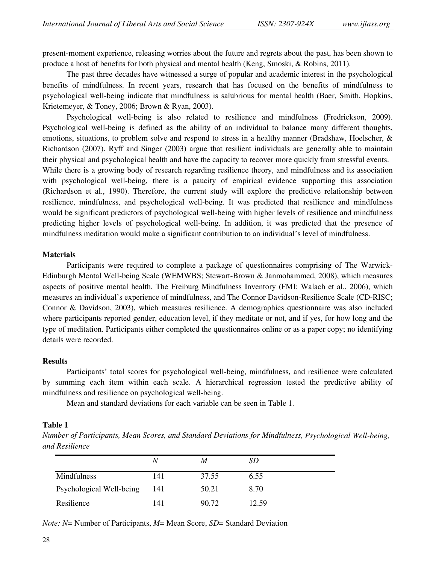present-moment experience, releasing worries about the future and regrets about the past, has been shown to produce a host of benefits for both physical and mental health (Keng, Smoski, & Robins, 2011).

The past three decades have witnessed a surge of popular and academic interest in the psychological benefits of mindfulness. In recent years, research that has focused on the benefits of mindfulness to psychological well-being indicate that mindfulness is salubrious for mental health (Baer, Smith, Hopkins, Krietemeyer, & Toney, 2006; Brown & Ryan, 2003).

Psychological well-being is also related to resilience and mindfulness (Fredrickson, 2009). Psychological well-being is defined as the ability of an individual to balance many different thoughts, emotions, situations, to problem solve and respond to stress in a healthy manner (Bradshaw, Hoelscher, & Richardson (2007). Ryff and Singer (2003) argue that resilient individuals are generally able to maintain their physical and psychological health and have the capacity to recover more quickly from stressful events. While there is a growing body of research regarding resilience theory, and mindfulness and its association with psychological well-being, there is a paucity of empirical evidence supporting this association (Richardson et al., 1990). Therefore, the current study will explore the predictive relationship between resilience, mindfulness, and psychological well-being. It was predicted that resilience and mindfulness would be significant predictors of psychological well-being with higher levels of resilience and mindfulness predicting higher levels of psychological well-being. In addition, it was predicted that the presence of mindfulness meditation would make a significant contribution to an individual's level of mindfulness.

#### **Materials**

Participants were required to complete a package of questionnaires comprising of The Warwick-Edinburgh Mental Well-being Scale (WEMWBS; Stewart-Brown & Janmohammed, 2008), which measures aspects of positive mental health, The Freiburg Mindfulness Inventory (FMI; Walach et al., 2006), which measures an individual's experience of mindfulness, and The Connor Davidson-Resilience Scale (CD-RISC; Connor & Davidson, 2003), which measures resilience. A demographics questionnaire was also included where participants reported gender, education level, if they meditate or not, and if yes, for how long and the type of meditation. Participants either completed the questionnaires online or as a paper copy; no identifying details were recorded.

## **Results**

Participants' total scores for psychological well-being, mindfulness, and resilience were calculated by summing each item within each scale. A hierarchical regression tested the predictive ability of mindfulness and resilience on psychological well-being.

Mean and standard deviations for each variable can be seen in Table 1.

## **Table 1**

*Number of Participants, Mean Scores, and Standard Deviations for Mindfulness, Psychological Well-being, and Resilience*

|                          | N   | M     | SD    |
|--------------------------|-----|-------|-------|
| Mindfulness              | 141 | 37.55 | 6.55  |
| Psychological Well-being | 141 | 50.21 | 8.70  |
| Resilience               | 141 | 90.72 | 12.59 |

*Note: N*= Number of Participants, *M*= Mean Score, *SD*= Standard Deviation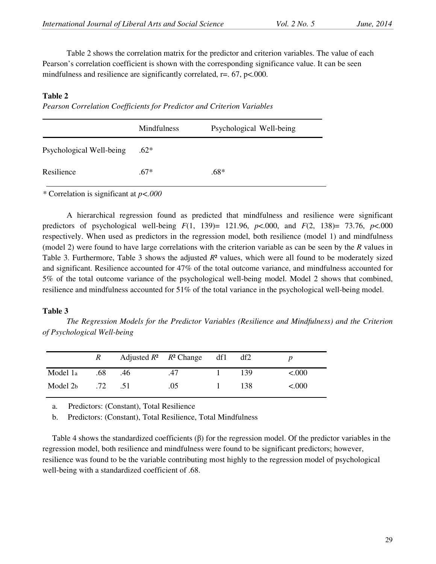Table 2 shows the correlation matrix for the predictor and criterion variables. The value of each Pearson's correlation coefficient is shown with the corresponding significance value. It can be seen mindfulness and resilience are significantly correlated,  $r = 0.67$ ,  $p < 0.000$ .

## **Table 2**

*Pearson Correlation Coefficients for Predictor and Criterion Variables* 

|                          | <b>Mindfulness</b> | Psychological Well-being |
|--------------------------|--------------------|--------------------------|
| Psychological Well-being | $.62*$             |                          |
| Resilience               | $.67*$             | $.68*$                   |

*\** Correlation is significant at *p<.000*

A hierarchical regression found as predicted that mindfulness and resilience were significant predictors of psychological well-being *F*(1, 139)= 121.96, *p*<.000, and *F*(2, 138)= 73.76, *p*<.000 respectively. When used as predictors in the regression model, both resilience (model 1) and mindfulness (model 2) were found to have large correlations with the criterion variable as can be seen by the *R* values in Table 3. Furthermore, Table 3 shows the adjusted *R*² values, which were all found to be moderately sized and significant. Resilience accounted for 47% of the total outcome variance, and mindfulness accounted for 5% of the total outcome variance of the psychological well-being model. Model 2 shows that combined, resilience and mindfulness accounted for 51% of the total variance in the psychological well-being model.

## **Table 3**

*The Regression Models for the Predictor Variables (Resilience and Mindfulness) and the Criterion of Psychological Well-being*

|          | R            |     | Adjusted $R^2$ $R^2$ Change df1 df2 |     |         |
|----------|--------------|-----|-------------------------------------|-----|---------|
| Model 1a | .68          | .46 | .47                                 | 139 | < 0.000 |
| Model 2b | $.72 \t .51$ |     | .05                                 | 138 | < 0.000 |

a. Predictors: (Constant), Total Resilience

b. Predictors: (Constant), Total Resilience, Total Mindfulness

Table 4 shows the standardized coefficients (β) for the regression model. Of the predictor variables in the regression model, both resilience and mindfulness were found to be significant predictors; however, resilience was found to be the variable contributing most highly to the regression model of psychological well-being with a standardized coefficient of .68.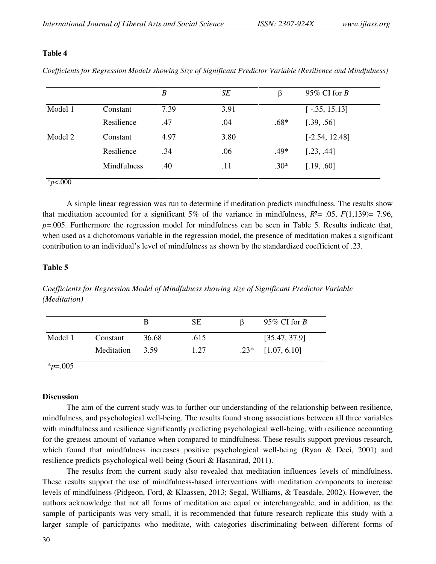## **Table 4**

*Coefficients for Regression Models showing Size of Significant Predictor Variable (Resilience and Mindfulness)* 

|         |             | $\boldsymbol{B}$ | SE   | β      | 95% CI for $B$   |
|---------|-------------|------------------|------|--------|------------------|
| Model 1 | Constant    | 7.39             | 3.91 |        | $[-.35, 15.13]$  |
|         | Resilience  | .47              | .04  | $.68*$ | [.39, .56]       |
| Model 2 | Constant    | 4.97             | 3.80 |        | $[-2.54, 12.48]$ |
|         | Resilience  | .34              | .06  | $.49*$ | [.23, .44]       |
|         | Mindfulness | .40              | .11  | $.30*$ | [.19, .60]       |

A simple linear regression was run to determine if meditation predicts mindfulness. The results show that meditation accounted for a significant 5% of the variance in mindfulness,  $R^2 = .05$ ,  $F(1,139)= 7.96$ , *p*=.005. Furthermore the regression model for mindfulness can be seen in Table 5. Results indicate that, when used as a dichotomous variable in the regression model, the presence of meditation makes a significant contribution to an individual's level of mindfulness as shown by the standardized coefficient of .23.

#### **Table 5**

*Coefficients for Regression Model of Mindfulness showing size of Significant Predictor Variable (Meditation)* 

|         |            | В     | SЕ   | 95\% CI for B       |
|---------|------------|-------|------|---------------------|
| Model 1 | Constant   | 36.68 | .615 | [35.47, 37.9]       |
|         | Meditation | 3.59  | 1.27 | $.23*$ [1.07, 6.10] |

## \**p*=.005

## **Discussion**

The aim of the current study was to further our understanding of the relationship between resilience, mindfulness, and psychological well-being. The results found strong associations between all three variables with mindfulness and resilience significantly predicting psychological well-being, with resilience accounting for the greatest amount of variance when compared to mindfulness. These results support previous research, which found that mindfulness increases positive psychological well-being (Ryan & Deci, 2001) and resilience predicts psychological well-being (Souri & Hasanirad, 2011).

The results from the current study also revealed that meditation influences levels of mindfulness. These results support the use of mindfulness-based interventions with meditation components to increase levels of mindfulness (Pidgeon, Ford, & Klaassen, 2013; Segal, Williams, & Teasdale, 2002). However, the authors acknowledge that not all forms of meditation are equal or interchangeable, and in addition, as the sample of participants was very small, it is recommended that future research replicate this study with a larger sample of participants who meditate, with categories discriminating between different forms of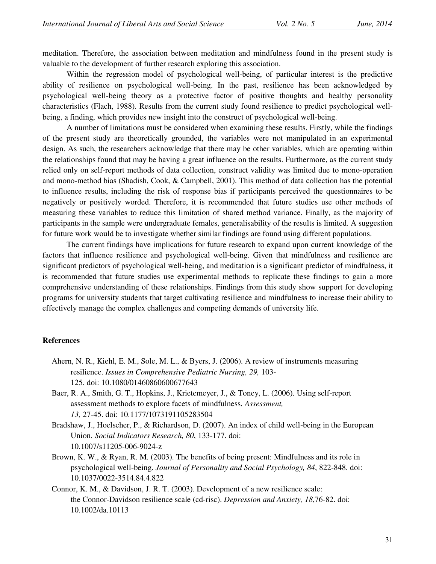meditation. Therefore, the association between meditation and mindfulness found in the present study is valuable to the development of further research exploring this association.

 Within the regression model of psychological well-being, of particular interest is the predictive ability of resilience on psychological well-being. In the past, resilience has been acknowledged by psychological well-being theory as a protective factor of positive thoughts and healthy personality characteristics (Flach, 1988). Results from the current study found resilience to predict psychological wellbeing, a finding, which provides new insight into the construct of psychological well-being.

 A number of limitations must be considered when examining these results. Firstly, while the findings of the present study are theoretically grounded, the variables were not manipulated in an experimental design. As such, the researchers acknowledge that there may be other variables, which are operating within the relationships found that may be having a great influence on the results. Furthermore, as the current study relied only on self-report methods of data collection, construct validity was limited due to mono-operation and mono-method bias (Shadish, Cook, & Campbell, 2001). This method of data collection has the potential to influence results, including the risk of response bias if participants perceived the questionnaires to be negatively or positively worded. Therefore, it is recommended that future studies use other methods of measuring these variables to reduce this limitation of shared method variance. Finally, as the majority of participants in the sample were undergraduate females, generalisability of the results is limited. A suggestion for future work would be to investigate whether similar findings are found using different populations.

 The current findings have implications for future research to expand upon current knowledge of the factors that influence resilience and psychological well-being. Given that mindfulness and resilience are significant predictors of psychological well-being, and meditation is a significant predictor of mindfulness, it is recommended that future studies use experimental methods to replicate these findings to gain a more comprehensive understanding of these relationships. Findings from this study show support for developing programs for university students that target cultivating resilience and mindfulness to increase their ability to effectively manage the complex challenges and competing demands of university life.

## **References**

- Ahern, N. R., Kiehl, E. M., Sole, M. L., & Byers, J. (2006). A review of instruments measuring resilience. *Issues in Comprehensive Pediatric Nursing, 29,* 103- 125. doi: 10.1080/01460860600677643
- Baer, R. A., Smith, G. T., Hopkins, J., Krietemeyer, J., & Toney, L. (2006). Using self-report assessment methods to explore facets of mindfulness. *Assessment, 13,* 27-45. doi: 10.1177/1073191105283504
- Bradshaw, J., Hoelscher, P., & Richardson, D. (2007). An index of child well-being in the European Union. *Social Indicators Research, 80*, 133-177. doi: 10.1007/s11205-006-9024-z
- Brown, K. W., & Ryan, R. M. (2003). The benefits of being present: Mindfulness and its role in psychological well-being. *Journal of Personality and Social Psychology, 84*, 822-848. doi: 10.1037/0022-3514.84.4.822
- Connor, K. M., & Davidson, J. R. T. (2003). Development of a new resilience scale: the Connor-Davidson resilience scale (cd-risc). *Depression and Anxiety, 18*,76-82. doi: 10.1002/da.10113